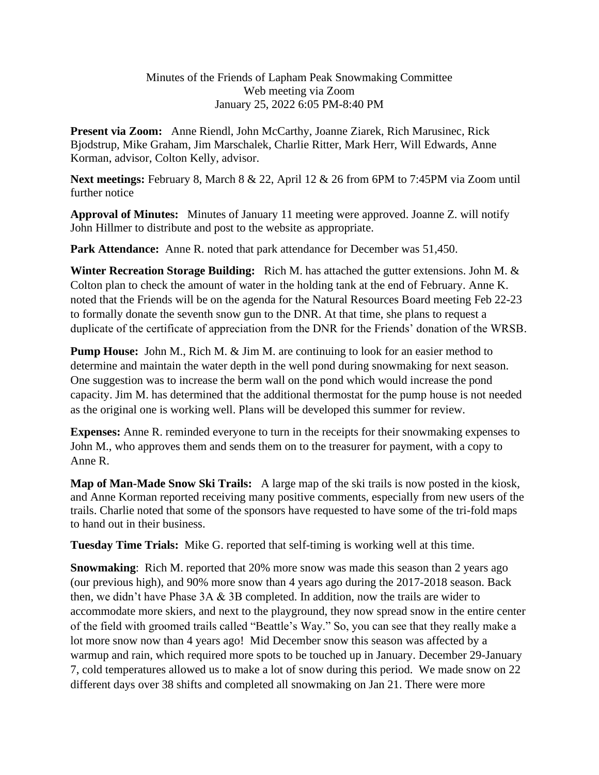## Minutes of the Friends of Lapham Peak Snowmaking Committee Web meeting via Zoom January 25, 2022 6:05 PM-8:40 PM

**Present via Zoom:** Anne Riendl, John McCarthy, Joanne Ziarek, Rich Marusinec, Rick Bjodstrup, Mike Graham, Jim Marschalek, Charlie Ritter, Mark Herr, Will Edwards, Anne Korman, advisor, Colton Kelly, advisor.

**Next meetings:** February 8, March 8 & 22, April 12 & 26 from 6PM to 7:45PM via Zoom until further notice

**Approval of Minutes:** Minutes of January 11 meeting were approved. Joanne Z. will notify John Hillmer to distribute and post to the website as appropriate.

**Park Attendance:** Anne R. noted that park attendance for December was 51,450.

**Winter Recreation Storage Building:** Rich M. has attached the gutter extensions. John M. & Colton plan to check the amount of water in the holding tank at the end of February. Anne K. noted that the Friends will be on the agenda for the Natural Resources Board meeting Feb 22-23 to formally donate the seventh snow gun to the DNR. At that time, she plans to request a duplicate of the certificate of appreciation from the DNR for the Friends' donation of the WRSB.

**Pump House:** John M., Rich M. & Jim M. are continuing to look for an easier method to determine and maintain the water depth in the well pond during snowmaking for next season. One suggestion was to increase the berm wall on the pond which would increase the pond capacity. Jim M. has determined that the additional thermostat for the pump house is not needed as the original one is working well. Plans will be developed this summer for review.

**Expenses:** Anne R. reminded everyone to turn in the receipts for their snowmaking expenses to John M., who approves them and sends them on to the treasurer for payment, with a copy to Anne R.

**Map of Man-Made Snow Ski Trails:** A large map of the ski trails is now posted in the kiosk, and Anne Korman reported receiving many positive comments, especially from new users of the trails. Charlie noted that some of the sponsors have requested to have some of the tri-fold maps to hand out in their business.

**Tuesday Time Trials:** Mike G. reported that self-timing is working well at this time.

**Snowmaking**: Rich M. reported that 20% more snow was made this season than 2 years ago (our previous high), and 90% more snow than 4 years ago during the 2017-2018 season. Back then, we didn't have Phase 3A & 3B completed. In addition, now the trails are wider to accommodate more skiers, and next to the playground, they now spread snow in the entire center of the field with groomed trails called "Beattle's Way." So, you can see that they really make a lot more snow now than 4 years ago! Mid December snow this season was affected by a warmup and rain, which required more spots to be touched up in January. December 29-January 7, cold temperatures allowed us to make a lot of snow during this period. We made snow on 22 different days over 38 shifts and completed all snowmaking on Jan 21. There were more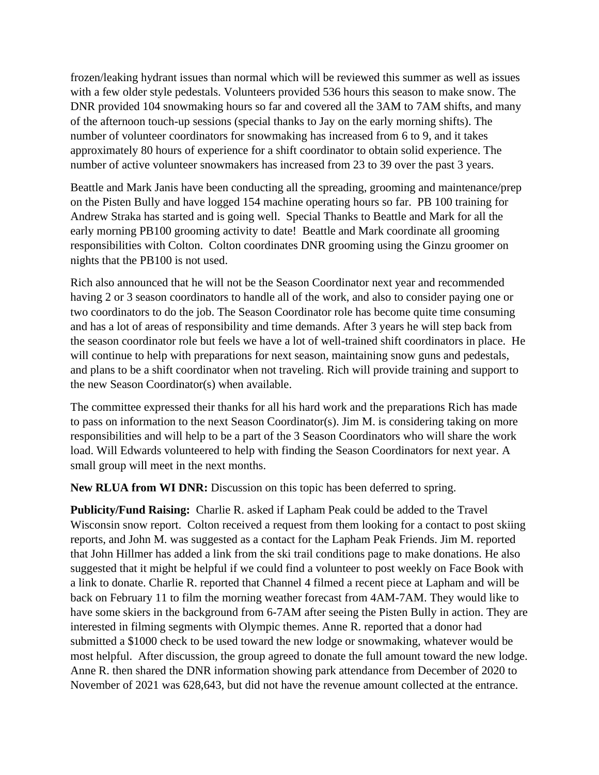frozen/leaking hydrant issues than normal which will be reviewed this summer as well as issues with a few older style pedestals. Volunteers provided 536 hours this season to make snow. The DNR provided 104 snowmaking hours so far and covered all the 3AM to 7AM shifts, and many of the afternoon touch-up sessions (special thanks to Jay on the early morning shifts). The number of volunteer coordinators for snowmaking has increased from 6 to 9, and it takes approximately 80 hours of experience for a shift coordinator to obtain solid experience. The number of active volunteer snowmakers has increased from 23 to 39 over the past 3 years.

Beattle and Mark Janis have been conducting all the spreading, grooming and maintenance/prep on the Pisten Bully and have logged 154 machine operating hours so far. PB 100 training for Andrew Straka has started and is going well. Special Thanks to Beattle and Mark for all the early morning PB100 grooming activity to date! Beattle and Mark coordinate all grooming responsibilities with Colton. Colton coordinates DNR grooming using the Ginzu groomer on nights that the PB100 is not used.

Rich also announced that he will not be the Season Coordinator next year and recommended having 2 or 3 season coordinators to handle all of the work, and also to consider paying one or two coordinators to do the job. The Season Coordinator role has become quite time consuming and has a lot of areas of responsibility and time demands. After 3 years he will step back from the season coordinator role but feels we have a lot of well-trained shift coordinators in place. He will continue to help with preparations for next season, maintaining snow guns and pedestals, and plans to be a shift coordinator when not traveling. Rich will provide training and support to the new Season Coordinator(s) when available.

The committee expressed their thanks for all his hard work and the preparations Rich has made to pass on information to the next Season Coordinator(s). Jim M. is considering taking on more responsibilities and will help to be a part of the 3 Season Coordinators who will share the work load. Will Edwards volunteered to help with finding the Season Coordinators for next year. A small group will meet in the next months.

**New RLUA from WI DNR:** Discussion on this topic has been deferred to spring.

**Publicity/Fund Raising:** Charlie R. asked if Lapham Peak could be added to the Travel Wisconsin snow report. Colton received a request from them looking for a contact to post skiing reports, and John M. was suggested as a contact for the Lapham Peak Friends. Jim M. reported that John Hillmer has added a link from the ski trail conditions page to make donations. He also suggested that it might be helpful if we could find a volunteer to post weekly on Face Book with a link to donate. Charlie R. reported that Channel 4 filmed a recent piece at Lapham and will be back on February 11 to film the morning weather forecast from 4AM-7AM. They would like to have some skiers in the background from 6-7AM after seeing the Pisten Bully in action. They are interested in filming segments with Olympic themes. Anne R. reported that a donor had submitted a \$1000 check to be used toward the new lodge or snowmaking, whatever would be most helpful. After discussion, the group agreed to donate the full amount toward the new lodge. Anne R. then shared the DNR information showing park attendance from December of 2020 to November of 2021 was 628,643, but did not have the revenue amount collected at the entrance.